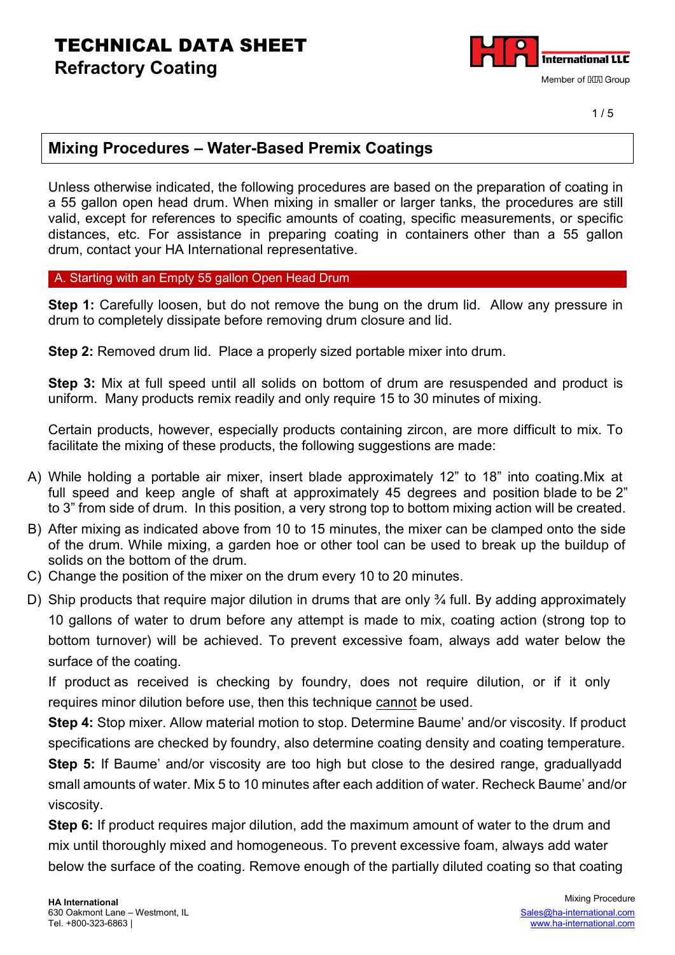

 $1/5$ 

#### **Mixing Procedures – Water-Based Premix Coatings**

Unless otherwise indicated, the following procedures are based on the preparation of coating in a 55 gallon open head drum. When mixing in smaller or larger tanks, the procedures are still valid, except for references to specific amounts of coating, specific measurements, or specific distances, etc. For assistance in preparing coating in containers other than a 55 gallon drum, contact your HA International representative.

A. Starting with an Empty 55 gallon Open Head Drum

**Step 1:** Carefully loosen, but do not remove the bung on the drum lid. Allow any pressure in drum to completely dissipate before removing drum closure and lid.

**Step 2:** Removed drum lid. Place a properly sized portable mixer into drum.

**Step 3:** Mix at full speed until all solids on bottom of drum are resuspended and product is uniform. Many products remix readily and only require 15 to 30 minutes of mixing.

Certain products, however, especially products containing zircon, are more difficult to mix. To facilitate the mixing of these products, the following suggestions are made:

- A) While holding a portable air mixer, insert blade approximately 12" to 18" into coating.Mix at full speed and keep angle of shaft at approximately 45 degrees and position blade to be 2" to 3" from side of drum. In this position, a very strong top to bottom mixing action will be created.
- B) After mixing as indicated above from 10 to 15 minutes, the mixer can be clamped onto the side of the drum. While mixing, a garden hoe or other tool can be used to break up the buildup of solids on the bottom of the drum.
- C) Change the position of the mixer on the drum every 10 to 20 minutes.
- D) Ship products that require major dilution in drums that are only 3⁄4 full. By adding approximately 10 gallons of water to drum before any attempt is made to mix, coating action (strong top to bottom turnover) will be achieved. To prevent excessive foam, always add water below the surface of the coating.

If product as received is checking by foundry, does not require dilution, or if it only requires minor dilution before use, then this technique cannot be used.

**Step 4:** Stop mixer. Allow material motion to stop. Determine Baume' and/or viscosity. If product specifications are checked by foundry, also determine coating density and coating temperature. **Step 5:** If Baume' and/or viscosity are too high but close to the desired range, gradually add small amounts of water. Mix 5 to 10 minutes after each addition of water. Recheck Baume' and/or viscosity.

**Step 6:** If product requires major dilution, add the maximum amount of water to the drum and mix until thoroughly mixed and homogeneous. To prevent excessive foam, always add water below the surface of the coating. Remove enough of the partially diluted coating so that coating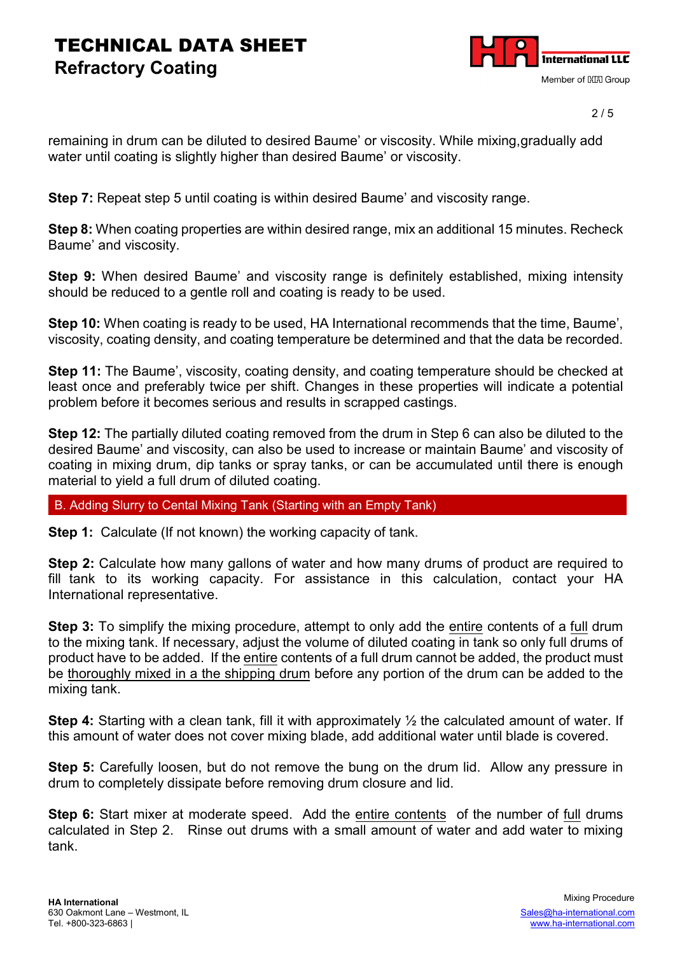

2 / 5

remaining in drum can be diluted to desired Baume' or viscosity. While mixing,gradually add water until coating is slightly higher than desired Baume' or viscosity.

**Step 7:** Repeat step 5 until coating is within desired Baume' and viscosity range.

**Step 8:** When coating properties are within desired range, mix an additional 15 minutes. Recheck Baume' and viscosity.

**Step 9:** When desired Baume' and viscosity range is definitely established, mixing intensity should be reduced to a gentle roll and coating is ready to be used.

**Step 10:** When coating is ready to be used, HA International recommends that the time, Baume', viscosity, coating density, and coating temperature be determined and that the data be recorded.

**Step 11:** The Baume', viscosity, coating density, and coating temperature should be checked at least once and preferably twice per shift. Changes in these properties will indicate a potential problem before it becomes serious and results in scrapped castings.

**Step 12:** The partially diluted coating removed from the drum in Step 6 can also be diluted to the desired Baume' and viscosity, can also be used to increase or maintain Baume' and viscosity of coating in mixing drum, dip tanks or spray tanks, or can be accumulated until there is enough material to yield a full drum of diluted coating.

B. Adding Slurry to Cental Mixing Tank (Starting with an Empty Tank)

**Step 1:** Calculate (If not known) the working capacity of tank.

**Step 2:** Calculate how many gallons of water and how many drums of product are required to fill tank to its working capacity. For assistance in this calculation, contact your HA International representative.

**Step 3:** To simplify the mixing procedure, attempt to only add the entire contents of a full drum to the mixing tank. If necessary, adjust the volume of diluted coating in tank so only full drums of product have to be added. If the entire contents of a full drum cannot be added, the product must be thoroughly mixed in a the shipping drum before any portion of the drum can be added to the mixing tank.

**Step 4:** Starting with a clean tank, fill it with approximately ½ the calculated amount of water. If this amount of water does not cover mixing blade, add additional water until blade is covered.

**Step 5:** Carefully loosen, but do not remove the bung on the drum lid. Allow any pressure in drum to completely dissipate before removing drum closure and lid.

**Step 6:** Start mixer at moderate speed. Add the entire contents of the number of full drums calculated in Step 2. Rinse out drums with a small amount of water and add water to mixing tank.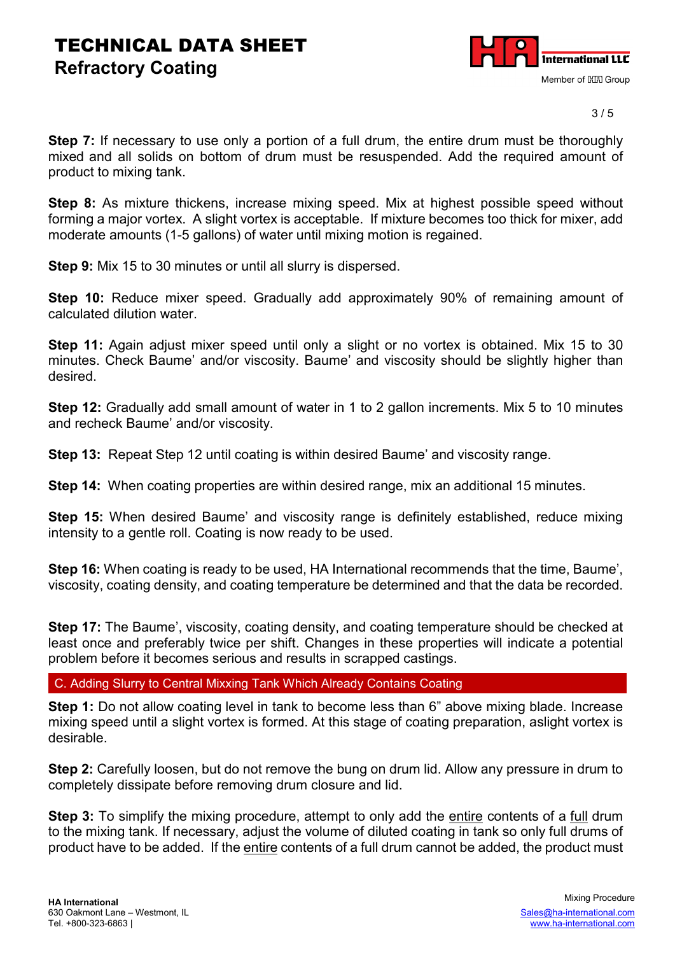

3 / 5

**Step 7:** If necessary to use only a portion of a full drum, the entire drum must be thoroughly mixed and all solids on bottom of drum must be resuspended. Add the required amount of product to mixing tank.

**Step 8:** As mixture thickens, increase mixing speed. Mix at highest possible speed without forming a major vortex. A slight vortex is acceptable. If mixture becomes too thick for mixer, add moderate amounts (1-5 gallons) of water until mixing motion is regained.

**Step 9:** Mix 15 to 30 minutes or until all slurry is dispersed.

**Step 10:** Reduce mixer speed. Gradually add approximately 90% of remaining amount of calculated dilution water.

**Step 11:** Again adjust mixer speed until only a slight or no vortex is obtained. Mix 15 to 30 minutes. Check Baume' and/or viscosity. Baume' and viscosity should be slightly higher than desired.

**Step 12:** Gradually add small amount of water in 1 to 2 gallon increments. Mix 5 to 10 minutes and recheck Baume' and/or viscosity.

**Step 13:** Repeat Step 12 until coating is within desired Baume' and viscosity range.

**Step 14:** When coating properties are within desired range, mix an additional 15 minutes.

**Step 15:** When desired Baume' and viscosity range is definitely established, reduce mixing intensity to a gentle roll. Coating is now ready to be used.

**Step 16:** When coating is ready to be used, HA International recommends that the time, Baume', viscosity, coating density, and coating temperature be determined and that the data be recorded.

**Step 17:** The Baume', viscosity, coating density, and coating temperature should be checked at least once and preferably twice per shift. Changes in these properties will indicate a potential problem before it becomes serious and results in scrapped castings.

C. Adding Slurry to Central Mixxing Tank Which Already Contains Coating

**Step 1:** Do not allow coating level in tank to become less than 6" above mixing blade. Increase mixing speed until a slight vortex is formed. At this stage of coating preparation, aslight vortex is desirable.

**Step 2:** Carefully loosen, but do not remove the bung on drum lid. Allow any pressure in drum to completely dissipate before removing drum closure and lid.

**Step 3:** To simplify the mixing procedure, attempt to only add the entire contents of a full drum to the mixing tank. If necessary, adjust the volume of diluted coating in tank so only full drums of product have to be added. If the entire contents of a full drum cannot be added, the product must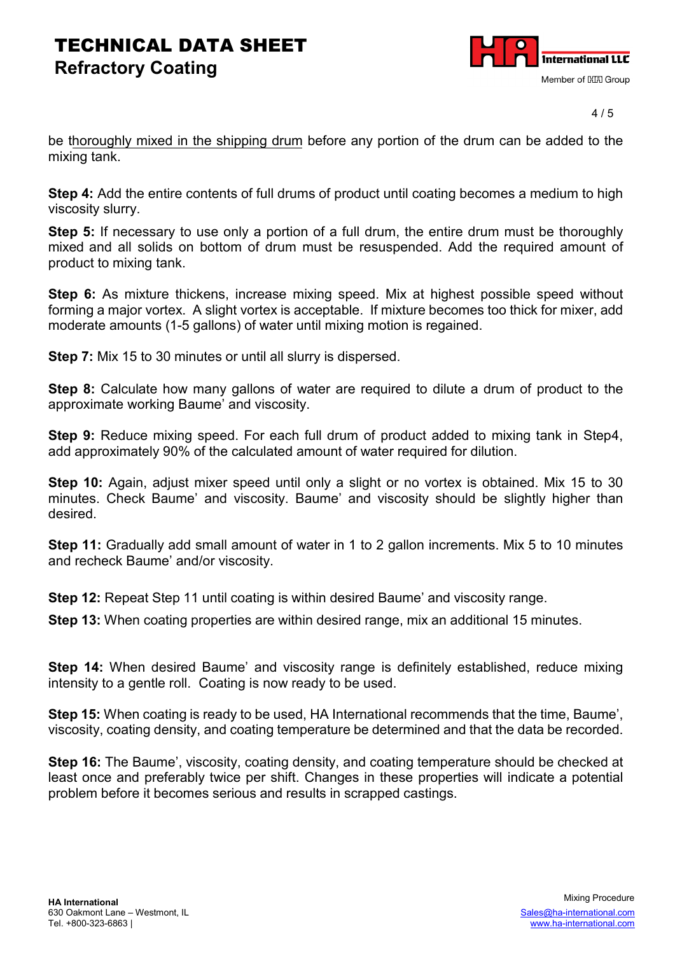

4 / 5

be thoroughly mixed in the shipping drum before any portion of the drum can be added to the mixing tank.

**Step 4:** Add the entire contents of full drums of product until coating becomes a medium to high viscosity slurry.

**Step 5:** If necessary to use only a portion of a full drum, the entire drum must be thoroughly mixed and all solids on bottom of drum must be resuspended. Add the required amount of product to mixing tank.

**Step 6:** As mixture thickens, increase mixing speed. Mix at highest possible speed without forming a major vortex. A slight vortex is acceptable. If mixture becomes too thick for mixer, add moderate amounts (1-5 gallons) of water until mixing motion is regained.

**Step 7:** Mix 15 to 30 minutes or until all slurry is dispersed.

**Step 8:** Calculate how many gallons of water are required to dilute a drum of product to the approximate working Baume' and viscosity.

**Step 9:** Reduce mixing speed. For each full drum of product added to mixing tank in Step4, add approximately 90% of the calculated amount of water required for dilution.

**Step 10:** Again, adjust mixer speed until only a slight or no vortex is obtained. Mix 15 to 30 minutes. Check Baume' and viscosity. Baume' and viscosity should be slightly higher than desired.

**Step 11:** Gradually add small amount of water in 1 to 2 gallon increments. Mix 5 to 10 minutes and recheck Baume' and/or viscosity.

**Step 12:** Repeat Step 11 until coating is within desired Baume' and viscosity range.

**Step 13:** When coating properties are within desired range, mix an additional 15 minutes.

**Step 14:** When desired Baume' and viscosity range is definitely established, reduce mixing intensity to a gentle roll. Coating is now ready to be used.

**Step 15:** When coating is ready to be used, HA International recommends that the time, Baume', viscosity, coating density, and coating temperature be determined and that the data be recorded.

**Step 16:** The Baume', viscosity, coating density, and coating temperature should be checked at least once and preferably twice per shift. Changes in these properties will indicate a potential problem before it becomes serious and results in scrapped castings.